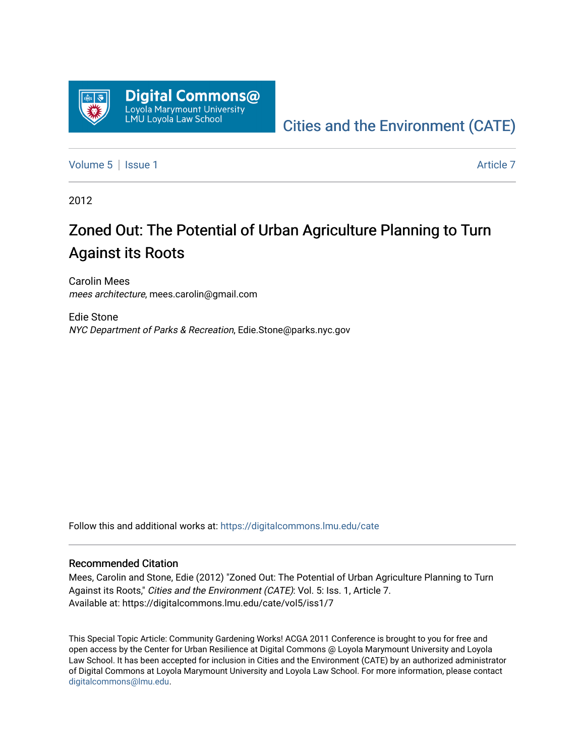

# [Cities and the Environment \(CATE\)](https://digitalcommons.lmu.edu/cate)

[Volume 5](https://digitalcommons.lmu.edu/cate/vol5) | [Issue 1](https://digitalcommons.lmu.edu/cate/vol5/iss1) Article 7

2012

# Zoned Out: The Potential of Urban Agriculture Planning to Turn Against its Roots

Carolin Mees mees architecture, mees.carolin@gmail.com

Edie Stone NYC Department of Parks & Recreation, Edie.Stone@parks.nyc.gov

Follow this and additional works at: [https://digitalcommons.lmu.edu/cate](https://digitalcommons.lmu.edu/cate?utm_source=digitalcommons.lmu.edu%2Fcate%2Fvol5%2Fiss1%2F7&utm_medium=PDF&utm_campaign=PDFCoverPages) 

#### Recommended Citation

Mees, Carolin and Stone, Edie (2012) "Zoned Out: The Potential of Urban Agriculture Planning to Turn Against its Roots," Cities and the Environment (CATE): Vol. 5: Iss. 1, Article 7. Available at: https://digitalcommons.lmu.edu/cate/vol5/iss1/7

This Special Topic Article: Community Gardening Works! ACGA 2011 Conference is brought to you for free and open access by the Center for Urban Resilience at Digital Commons @ Loyola Marymount University and Loyola Law School. It has been accepted for inclusion in Cities and the Environment (CATE) by an authorized administrator of Digital Commons at Loyola Marymount University and Loyola Law School. For more information, please contact [digitalcommons@lmu.edu](mailto:digitalcommons@lmu.edu).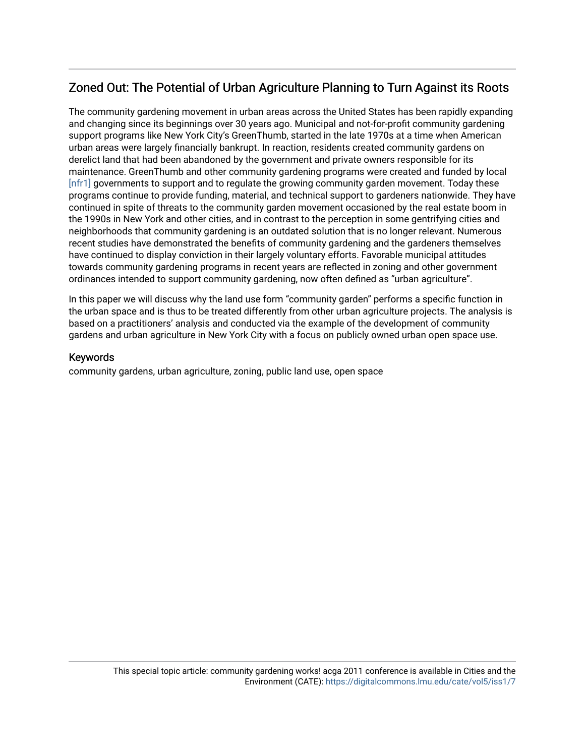# Zoned Out: The Potential of Urban Agriculture Planning to Turn Against its Roots

The community gardening movement in urban areas across the United States has been rapidly expanding and changing since its beginnings over 30 years ago. Municipal and not-for-profit community gardening support programs like New York City's GreenThumb, started in the late 1970s at a time when American urban areas were largely financially bankrupt. In reaction, residents created community gardens on derelict land that had been abandoned by the government and private owners responsible for its maintenance. GreenThumb and other community gardening programs were created and funded by local [nfr1] governments to support and to regulate the growing community garden movement. Today these programs continue to provide funding, material, and technical support to gardeners nationwide. They have continued in spite of threats to the community garden movement occasioned by the real estate boom in the 1990s in New York and other cities, and in contrast to the perception in some gentrifying cities and neighborhoods that community gardening is an outdated solution that is no longer relevant. Numerous recent studies have demonstrated the benefits of community gardening and the gardeners themselves have continued to display conviction in their largely voluntary efforts. Favorable municipal attitudes towards community gardening programs in recent years are reflected in zoning and other government ordinances intended to support community gardening, now often defined as "urban agriculture".

In this paper we will discuss why the land use form "community garden" performs a specific function in the urban space and is thus to be treated differently from other urban agriculture projects. The analysis is based on a practitioners' analysis and conducted via the example of the development of community gardens and urban agriculture in New York City with a focus on publicly owned urban open space use.

#### Keywords

community gardens, urban agriculture, zoning, public land use, open space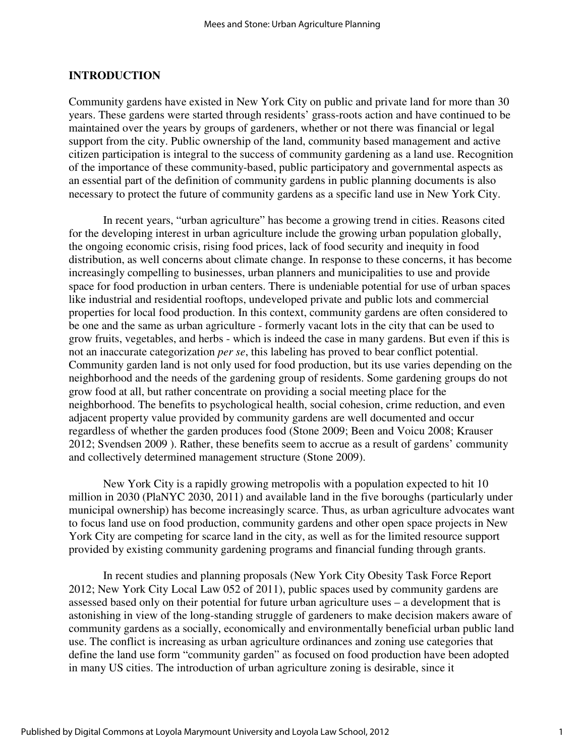#### **INTRODUCTION**

Community gardens have existed in New York City on public and private land for more than 30 years. These gardens were started through residents' grass-roots action and have continued to be maintained over the years by groups of gardeners, whether or not there was financial or legal support from the city. Public ownership of the land, community based management and active citizen participation is integral to the success of community gardening as a land use. Recognition of the importance of these community-based, public participatory and governmental aspects as an essential part of the definition of community gardens in public planning documents is also necessary to protect the future of community gardens as a specific land use in New York City.

In recent years, "urban agriculture" has become a growing trend in cities. Reasons cited for the developing interest in urban agriculture include the growing urban population globally, the ongoing economic crisis, rising food prices, lack of food security and inequity in food distribution, as well concerns about climate change. In response to these concerns, it has become increasingly compelling to businesses, urban planners and municipalities to use and provide space for food production in urban centers. There is undeniable potential for use of urban spaces like industrial and residential rooftops, undeveloped private and public lots and commercial properties for local food production. In this context, community gardens are often considered to be one and the same as urban agriculture - formerly vacant lots in the city that can be used to grow fruits, vegetables, and herbs - which is indeed the case in many gardens. But even if this is not an inaccurate categorization *per se*, this labeling has proved to bear conflict potential. Community garden land is not only used for food production, but its use varies depending on the neighborhood and the needs of the gardening group of residents. Some gardening groups do not grow food at all, but rather concentrate on providing a social meeting place for the neighborhood. The benefits to psychological health, social cohesion, crime reduction, and even adjacent property value provided by community gardens are well documented and occur regardless of whether the garden produces food (Stone 2009; Been and Voicu 2008; Krauser 2012; Svendsen 2009 ). Rather, these benefits seem to accrue as a result of gardens' community and collectively determined management structure (Stone 2009).

New York City is a rapidly growing metropolis with a population expected to hit 10 million in 2030 (PlaNYC 2030, 2011) and available land in the five boroughs (particularly under municipal ownership) has become increasingly scarce. Thus, as urban agriculture advocates want to focus land use on food production, community gardens and other open space projects in New York City are competing for scarce land in the city, as well as for the limited resource support provided by existing community gardening programs and financial funding through grants.

In recent studies and planning proposals (New York City Obesity Task Force Report 2012; New York City Local Law 052 of 2011), public spaces used by community gardens are assessed based only on their potential for future urban agriculture uses – a development that is astonishing in view of the long-standing struggle of gardeners to make decision makers aware of community gardens as a socially, economically and environmentally beneficial urban public land use. The conflict is increasing as urban agriculture ordinances and zoning use categories that define the land use form "community garden" as focused on food production have been adopted in many US cities. The introduction of urban agriculture zoning is desirable, since it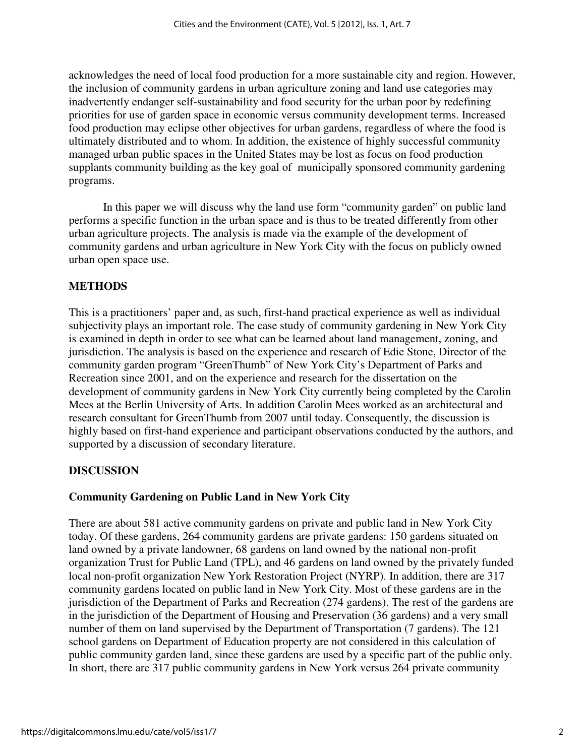acknowledges the need of local food production for a more sustainable city and region. However, the inclusion of community gardens in urban agriculture zoning and land use categories may inadvertently endanger self-sustainability and food security for the urban poor by redefining priorities for use of garden space in economic versus community development terms. Increased food production may eclipse other objectives for urban gardens, regardless of where the food is ultimately distributed and to whom. In addition, the existence of highly successful community managed urban public spaces in the United States may be lost as focus on food production supplants community building as the key goal of municipally sponsored community gardening programs.

In this paper we will discuss why the land use form "community garden" on public land performs a specific function in the urban space and is thus to be treated differently from other urban agriculture projects. The analysis is made via the example of the development of community gardens and urban agriculture in New York City with the focus on publicly owned urban open space use.

## **METHODS**

This is a practitioners' paper and, as such, first-hand practical experience as well as individual subjectivity plays an important role. The case study of community gardening in New York City is examined in depth in order to see what can be learned about land management, zoning, and jurisdiction. The analysis is based on the experience and research of Edie Stone, Director of the community garden program "GreenThumb" of New York City's Department of Parks and Recreation since 2001, and on the experience and research for the dissertation on the development of community gardens in New York City currently being completed by the Carolin Mees at the Berlin University of Arts. In addition Carolin Mees worked as an architectural and research consultant for GreenThumb from 2007 until today. Consequently, the discussion is highly based on first-hand experience and participant observations conducted by the authors, and supported by a discussion of secondary literature.

## **DISCUSSION**

#### **Community Gardening on Public Land in New York City**

There are about 581 active community gardens on private and public land in New York City today. Of these gardens, 264 community gardens are private gardens: 150 gardens situated on land owned by a private landowner, 68 gardens on land owned by the national non-profit organization Trust for Public Land (TPL), and 46 gardens on land owned by the privately funded local non-profit organization New York Restoration Project (NYRP). In addition, there are 317 community gardens located on public land in New York City. Most of these gardens are in the jurisdiction of the Department of Parks and Recreation (274 gardens). The rest of the gardens are in the jurisdiction of the Department of Housing and Preservation (36 gardens) and a very small number of them on land supervised by the Department of Transportation (7 gardens). The 121 school gardens on Department of Education property are not considered in this calculation of public community garden land, since these gardens are used by a specific part of the public only. In short, there are 317 public community gardens in New York versus 264 private community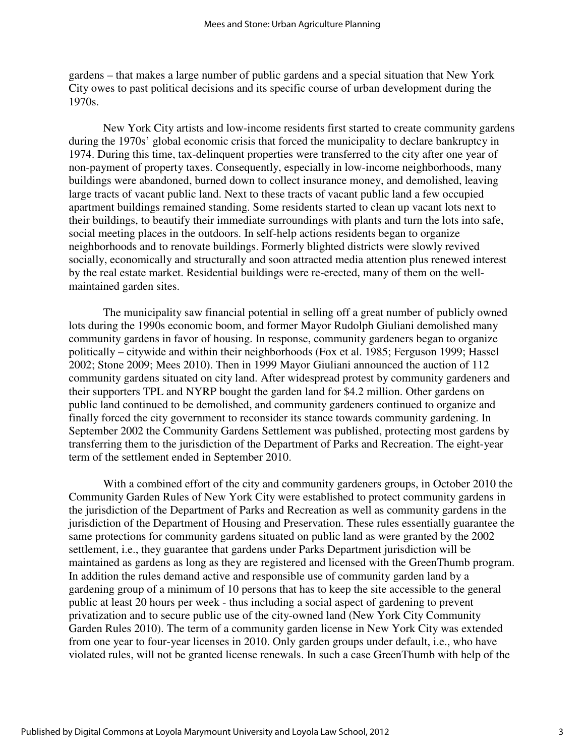gardens – that makes a large number of public gardens and a special situation that New York City owes to past political decisions and its specific course of urban development during the 1970s.

New York City artists and low-income residents first started to create community gardens during the 1970s' global economic crisis that forced the municipality to declare bankruptcy in 1974. During this time, tax-delinquent properties were transferred to the city after one year of non-payment of property taxes. Consequently, especially in low-income neighborhoods, many buildings were abandoned, burned down to collect insurance money, and demolished, leaving large tracts of vacant public land. Next to these tracts of vacant public land a few occupied apartment buildings remained standing. Some residents started to clean up vacant lots next to their buildings, to beautify their immediate surroundings with plants and turn the lots into safe, social meeting places in the outdoors. In self-help actions residents began to organize neighborhoods and to renovate buildings. Formerly blighted districts were slowly revived socially, economically and structurally and soon attracted media attention plus renewed interest by the real estate market. Residential buildings were re-erected, many of them on the wellmaintained garden sites.

The municipality saw financial potential in selling off a great number of publicly owned lots during the 1990s economic boom, and former Mayor Rudolph Giuliani demolished many community gardens in favor of housing. In response, community gardeners began to organize politically – citywide and within their neighborhoods (Fox et al. 1985; Ferguson 1999; Hassel 2002; Stone 2009; Mees 2010). Then in 1999 Mayor Giuliani announced the auction of 112 community gardens situated on city land. After widespread protest by community gardeners and their supporters TPL and NYRP bought the garden land for \$4.2 million. Other gardens on public land continued to be demolished, and community gardeners continued to organize and finally forced the city government to reconsider its stance towards community gardening. In September 2002 the Community Gardens Settlement was published, protecting most gardens by transferring them to the jurisdiction of the Department of Parks and Recreation. The eight-year term of the settlement ended in September 2010.

With a combined effort of the city and community gardeners groups, in October 2010 the Community Garden Rules of New York City were established to protect community gardens in the jurisdiction of the Department of Parks and Recreation as well as community gardens in the jurisdiction of the Department of Housing and Preservation. These rules essentially guarantee the same protections for community gardens situated on public land as were granted by the 2002 settlement, i.e., they guarantee that gardens under Parks Department jurisdiction will be maintained as gardens as long as they are registered and licensed with the GreenThumb program. In addition the rules demand active and responsible use of community garden land by a gardening group of a minimum of 10 persons that has to keep the site accessible to the general public at least 20 hours per week - thus including a social aspect of gardening to prevent privatization and to secure public use of the city-owned land (New York City Community Garden Rules 2010). The term of a community garden license in New York City was extended from one year to four-year licenses in 2010. Only garden groups under default, i.e., who have violated rules, will not be granted license renewals. In such a case GreenThumb with help of the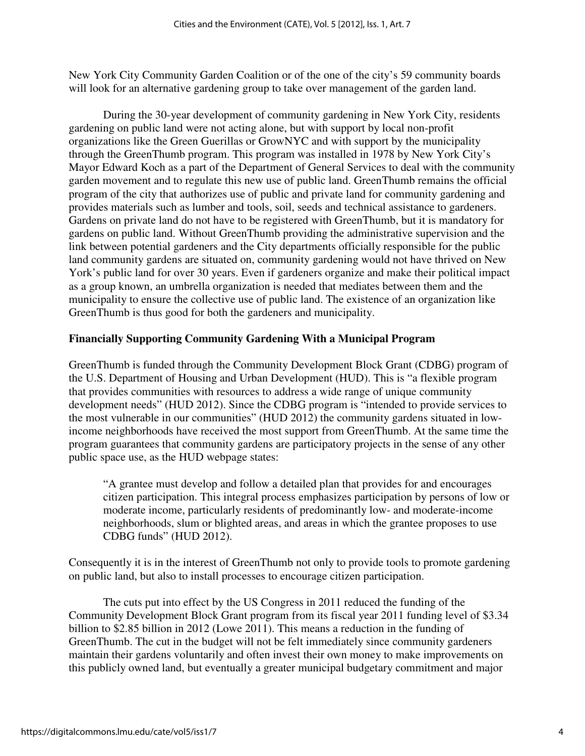New York City Community Garden Coalition or of the one of the city's 59 community boards will look for an alternative gardening group to take over management of the garden land.

During the 30-year development of community gardening in New York City, residents gardening on public land were not acting alone, but with support by local non-profit organizations like the Green Guerillas or GrowNYC and with support by the municipality through the GreenThumb program. This program was installed in 1978 by New York City's Mayor Edward Koch as a part of the Department of General Services to deal with the community garden movement and to regulate this new use of public land. GreenThumb remains the official program of the city that authorizes use of public and private land for community gardening and provides materials such as lumber and tools, soil, seeds and technical assistance to gardeners. Gardens on private land do not have to be registered with GreenThumb, but it is mandatory for gardens on public land. Without GreenThumb providing the administrative supervision and the link between potential gardeners and the City departments officially responsible for the public land community gardens are situated on, community gardening would not have thrived on New York's public land for over 30 years. Even if gardeners organize and make their political impact as a group known, an umbrella organization is needed that mediates between them and the municipality to ensure the collective use of public land. The existence of an organization like GreenThumb is thus good for both the gardeners and municipality.

### **Financially Supporting Community Gardening With a Municipal Program**

GreenThumb is funded through the Community Development Block Grant (CDBG) program of the U.S. Department of Housing and Urban Development (HUD). This is "a flexible program that provides communities with resources to address a wide range of unique community development needs" (HUD 2012). Since the CDBG program is "intended to provide services to the most vulnerable in our communities" (HUD 2012) the community gardens situated in lowincome neighborhoods have received the most support from GreenThumb. At the same time the program guarantees that community gardens are participatory projects in the sense of any other public space use, as the HUD webpage states:

"A grantee must develop and follow a detailed plan that provides for and encourages citizen participation. This integral process emphasizes participation by persons of low or moderate income, particularly residents of predominantly low- and moderate-income neighborhoods, slum or blighted areas, and areas in which the grantee proposes to use CDBG funds" (HUD 2012).

Consequently it is in the interest of GreenThumb not only to provide tools to promote gardening on public land, but also to install processes to encourage citizen participation.

The cuts put into effect by the US Congress in 2011 reduced the funding of the Community Development Block Grant program from its fiscal year 2011 funding level of \$3.34 billion to \$2.85 billion in 2012 (Lowe 2011). This means a reduction in the funding of GreenThumb. The cut in the budget will not be felt immediately since community gardeners maintain their gardens voluntarily and often invest their own money to make improvements on this publicly owned land, but eventually a greater municipal budgetary commitment and major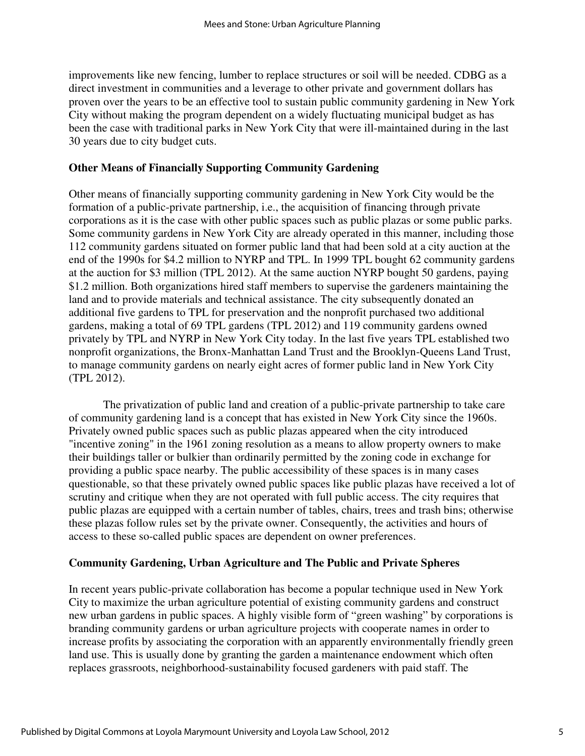improvements like new fencing, lumber to replace structures or soil will be needed. CDBG as a direct investment in communities and a leverage to other private and government dollars has proven over the years to be an effective tool to sustain public community gardening in New York City without making the program dependent on a widely fluctuating municipal budget as has been the case with traditional parks in New York City that were ill-maintained during in the last 30 years due to city budget cuts.

#### **Other Means of Financially Supporting Community Gardening**

Other means of financially supporting community gardening in New York City would be the formation of a public-private partnership, i.e., the acquisition of financing through private corporations as it is the case with other public spaces such as public plazas or some public parks. Some community gardens in New York City are already operated in this manner, including those 112 community gardens situated on former public land that had been sold at a city auction at the end of the 1990s for \$4.2 million to NYRP and TPL. In 1999 TPL bought 62 community gardens at the auction for \$3 million (TPL 2012). At the same auction NYRP bought 50 gardens, paying \$1.2 million. Both organizations hired staff members to supervise the gardeners maintaining the land and to provide materials and technical assistance. The city subsequently donated an additional five gardens to TPL for preservation and the nonprofit purchased two additional gardens, making a total of 69 TPL gardens (TPL 2012) and 119 community gardens owned privately by TPL and NYRP in New York City today. In the last five years TPL established two nonprofit organizations, the Bronx-Manhattan Land Trust and the Brooklyn-Queens Land Trust, to manage community gardens on nearly eight acres of former public land in New York City (TPL 2012).

The privatization of public land and creation of a public-private partnership to take care of community gardening land is a concept that has existed in New York City since the 1960s. Privately owned public spaces such as public plazas appeared when the city introduced "incentive zoning" in the 1961 zoning resolution as a means to allow property owners to make their buildings taller or bulkier than ordinarily permitted by the zoning code in exchange for providing a public space nearby. The public accessibility of these spaces is in many cases questionable, so that these privately owned public spaces like public plazas have received a lot of scrutiny and critique when they are not operated with full public access. The city requires that public plazas are equipped with a certain number of tables, chairs, trees and trash bins; otherwise these plazas follow rules set by the private owner. Consequently, the activities and hours of access to these so-called public spaces are dependent on owner preferences.

#### **Community Gardening, Urban Agriculture and The Public and Private Spheres**

In recent years public-private collaboration has become a popular technique used in New York City to maximize the urban agriculture potential of existing community gardens and construct new urban gardens in public spaces. A highly visible form of "green washing" by corporations is branding community gardens or urban agriculture projects with cooperate names in order to increase profits by associating the corporation with an apparently environmentally friendly green land use. This is usually done by granting the garden a maintenance endowment which often replaces grassroots, neighborhood-sustainability focused gardeners with paid staff. The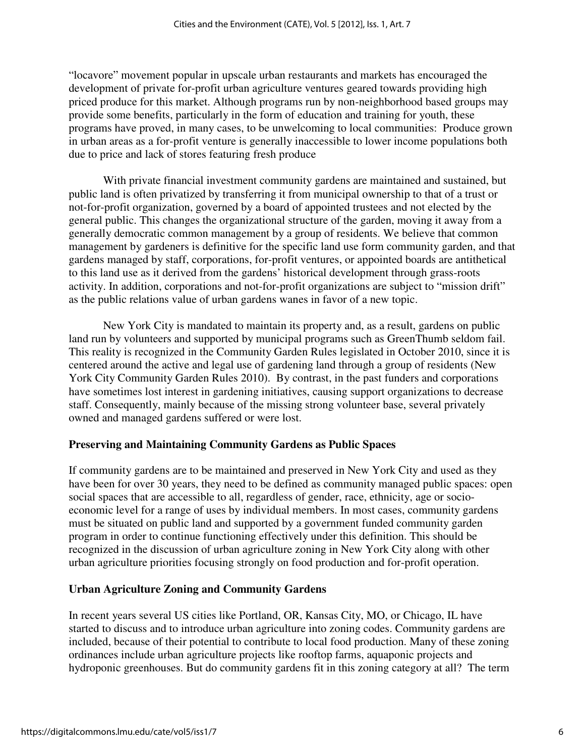"locavore" movement popular in upscale urban restaurants and markets has encouraged the development of private for-profit urban agriculture ventures geared towards providing high priced produce for this market. Although programs run by non-neighborhood based groups may provide some benefits, particularly in the form of education and training for youth, these programs have proved, in many cases, to be unwelcoming to local communities: Produce grown in urban areas as a for-profit venture is generally inaccessible to lower income populations both due to price and lack of stores featuring fresh produce

With private financial investment community gardens are maintained and sustained, but public land is often privatized by transferring it from municipal ownership to that of a trust or not-for-profit organization, governed by a board of appointed trustees and not elected by the general public. This changes the organizational structure of the garden, moving it away from a generally democratic common management by a group of residents. We believe that common management by gardeners is definitive for the specific land use form community garden, and that gardens managed by staff, corporations, for-profit ventures, or appointed boards are antithetical to this land use as it derived from the gardens' historical development through grass-roots activity. In addition, corporations and not-for-profit organizations are subject to "mission drift" as the public relations value of urban gardens wanes in favor of a new topic.

New York City is mandated to maintain its property and, as a result, gardens on public land run by volunteers and supported by municipal programs such as GreenThumb seldom fail. This reality is recognized in the Community Garden Rules legislated in October 2010, since it is centered around the active and legal use of gardening land through a group of residents (New York City Community Garden Rules 2010). By contrast, in the past funders and corporations have sometimes lost interest in gardening initiatives, causing support organizations to decrease staff. Consequently, mainly because of the missing strong volunteer base, several privately owned and managed gardens suffered or were lost.

#### **Preserving and Maintaining Community Gardens as Public Spaces**

If community gardens are to be maintained and preserved in New York City and used as they have been for over 30 years, they need to be defined as community managed public spaces: open social spaces that are accessible to all, regardless of gender, race, ethnicity, age or socioeconomic level for a range of uses by individual members. In most cases, community gardens must be situated on public land and supported by a government funded community garden program in order to continue functioning effectively under this definition. This should be recognized in the discussion of urban agriculture zoning in New York City along with other urban agriculture priorities focusing strongly on food production and for-profit operation.

#### **Urban Agriculture Zoning and Community Gardens**

In recent years several US cities like Portland, OR, Kansas City, MO, or Chicago, IL have started to discuss and to introduce urban agriculture into zoning codes. Community gardens are included, because of their potential to contribute to local food production. Many of these zoning ordinances include urban agriculture projects like rooftop farms, aquaponic projects and hydroponic greenhouses. But do community gardens fit in this zoning category at all? The term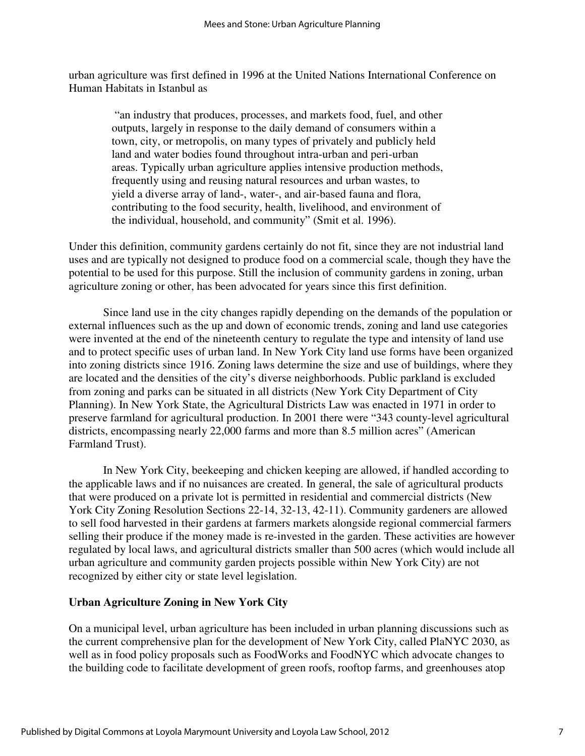urban agriculture was first defined in 1996 at the United Nations International Conference on Human Habitats in Istanbul as

 "an industry that produces, processes, and markets food, fuel, and other outputs, largely in response to the daily demand of consumers within a town, city, or metropolis, on many types of privately and publicly held land and water bodies found throughout intra-urban and peri-urban areas. Typically urban agriculture applies intensive production methods, frequently using and reusing natural resources and urban wastes, to yield a diverse array of land-, water-, and air-based fauna and flora, contributing to the food security, health, livelihood, and environment of the individual, household, and community" (Smit et al. 1996).

Under this definition, community gardens certainly do not fit, since they are not industrial land uses and are typically not designed to produce food on a commercial scale, though they have the potential to be used for this purpose. Still the inclusion of community gardens in zoning, urban agriculture zoning or other, has been advocated for years since this first definition.

Since land use in the city changes rapidly depending on the demands of the population or external influences such as the up and down of economic trends, zoning and land use categories were invented at the end of the nineteenth century to regulate the type and intensity of land use and to protect specific uses of urban land. In New York City land use forms have been organized into zoning districts since 1916. Zoning laws determine the size and use of buildings, where they are located and the densities of the city's diverse neighborhoods. Public parkland is excluded from zoning and parks can be situated in all districts (New York City Department of City Planning). In New York State, the Agricultural Districts Law was enacted in 1971 in order to preserve farmland for agricultural production. In 2001 there were "343 county-level agricultural districts, encompassing nearly 22,000 farms and more than 8.5 million acres" (American Farmland Trust).

In New York City, beekeeping and chicken keeping are allowed, if handled according to the applicable laws and if no nuisances are created. In general, the sale of agricultural products that were produced on a private lot is permitted in residential and commercial districts (New York City Zoning Resolution Sections 22-14, 32-13, 42-11). Community gardeners are allowed to sell food harvested in their gardens at farmers markets alongside regional commercial farmers selling their produce if the money made is re-invested in the garden. These activities are however regulated by local laws, and agricultural districts smaller than 500 acres (which would include all urban agriculture and community garden projects possible within New York City) are not recognized by either city or state level legislation.

#### **Urban Agriculture Zoning in New York City**

On a municipal level, urban agriculture has been included in urban planning discussions such as the current comprehensive plan for the development of New York City, called PlaNYC 2030, as well as in food policy proposals such as FoodWorks and FoodNYC which advocate changes to the building code to facilitate development of green roofs, rooftop farms, and greenhouses atop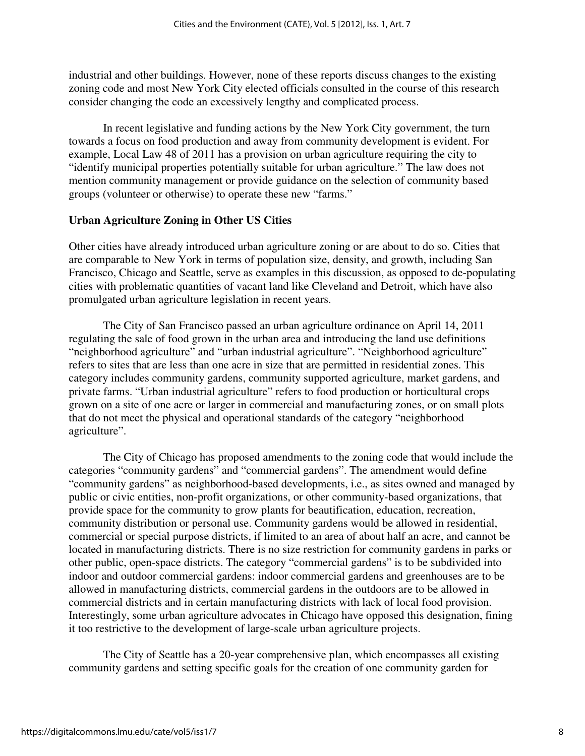industrial and other buildings. However, none of these reports discuss changes to the existing zoning code and most New York City elected officials consulted in the course of this research consider changing the code an excessively lengthy and complicated process.

In recent legislative and funding actions by the New York City government, the turn towards a focus on food production and away from community development is evident. For example, Local Law 48 of 2011 has a provision on urban agriculture requiring the city to "identify municipal properties potentially suitable for urban agriculture." The law does not mention community management or provide guidance on the selection of community based groups (volunteer or otherwise) to operate these new "farms."

#### **Urban Agriculture Zoning in Other US Cities**

Other cities have already introduced urban agriculture zoning or are about to do so. Cities that are comparable to New York in terms of population size, density, and growth, including San Francisco, Chicago and Seattle, serve as examples in this discussion, as opposed to de-populating cities with problematic quantities of vacant land like Cleveland and Detroit, which have also promulgated urban agriculture legislation in recent years.

The City of San Francisco passed an urban agriculture ordinance on April 14, 2011 regulating the sale of food grown in the urban area and introducing the land use definitions "neighborhood agriculture" and "urban industrial agriculture". "Neighborhood agriculture" refers to sites that are less than one acre in size that are permitted in residential zones. This category includes community gardens, community supported agriculture, market gardens, and private farms. "Urban industrial agriculture" refers to food production or horticultural crops grown on a site of one acre or larger in commercial and manufacturing zones, or on small plots that do not meet the physical and operational standards of the category "neighborhood agriculture".

The City of Chicago has proposed amendments to the zoning code that would include the categories "community gardens" and "commercial gardens". The amendment would define "community gardens" as neighborhood-based developments, i.e., as sites owned and managed by public or civic entities, non-profit organizations, or other community-based organizations, that provide space for the community to grow plants for beautification, education, recreation, community distribution or personal use. Community gardens would be allowed in residential, commercial or special purpose districts, if limited to an area of about half an acre, and cannot be located in manufacturing districts. There is no size restriction for community gardens in parks or other public, open-space districts. The category "commercial gardens" is to be subdivided into indoor and outdoor commercial gardens: indoor commercial gardens and greenhouses are to be allowed in manufacturing districts, commercial gardens in the outdoors are to be allowed in commercial districts and in certain manufacturing districts with lack of local food provision. Interestingly, some urban agriculture advocates in Chicago have opposed this designation, fining it too restrictive to the development of large-scale urban agriculture projects.

The City of Seattle has a 20-year comprehensive plan, which encompasses all existing community gardens and setting specific goals for the creation of one community garden for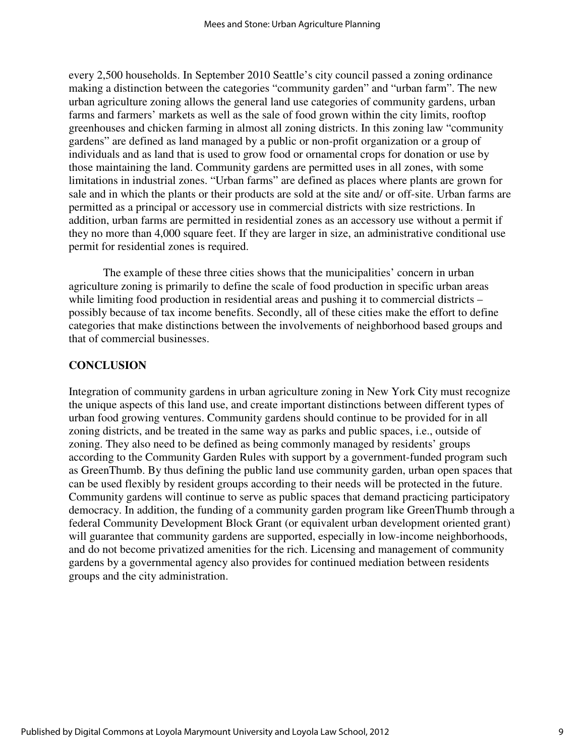every 2,500 households. In September 2010 Seattle's city council passed a zoning ordinance making a distinction between the categories "community garden" and "urban farm". The new urban agriculture zoning allows the general land use categories of community gardens, urban farms and farmers' markets as well as the sale of food grown within the city limits, rooftop greenhouses and chicken farming in almost all zoning districts. In this zoning law "community gardens" are defined as land managed by a public or non-profit organization or a group of individuals and as land that is used to grow food or ornamental crops for donation or use by those maintaining the land. Community gardens are permitted uses in all zones, with some limitations in industrial zones. "Urban farms" are defined as places where plants are grown for sale and in which the plants or their products are sold at the site and/ or off-site. Urban farms are permitted as a principal or accessory use in commercial districts with size restrictions. In addition, urban farms are permitted in residential zones as an accessory use without a permit if they no more than 4,000 square feet. If they are larger in size, an administrative conditional use permit for residential zones is required.

The example of these three cities shows that the municipalities' concern in urban agriculture zoning is primarily to define the scale of food production in specific urban areas while limiting food production in residential areas and pushing it to commercial districts – possibly because of tax income benefits. Secondly, all of these cities make the effort to define categories that make distinctions between the involvements of neighborhood based groups and that of commercial businesses.

#### **CONCLUSION**

Integration of community gardens in urban agriculture zoning in New York City must recognize the unique aspects of this land use, and create important distinctions between different types of urban food growing ventures. Community gardens should continue to be provided for in all zoning districts, and be treated in the same way as parks and public spaces, i.e., outside of zoning. They also need to be defined as being commonly managed by residents' groups according to the Community Garden Rules with support by a government-funded program such as GreenThumb. By thus defining the public land use community garden, urban open spaces that can be used flexibly by resident groups according to their needs will be protected in the future. Community gardens will continue to serve as public spaces that demand practicing participatory democracy. In addition, the funding of a community garden program like GreenThumb through a federal Community Development Block Grant (or equivalent urban development oriented grant) will guarantee that community gardens are supported, especially in low-income neighborhoods, and do not become privatized amenities for the rich. Licensing and management of community gardens by a governmental agency also provides for continued mediation between residents groups and the city administration.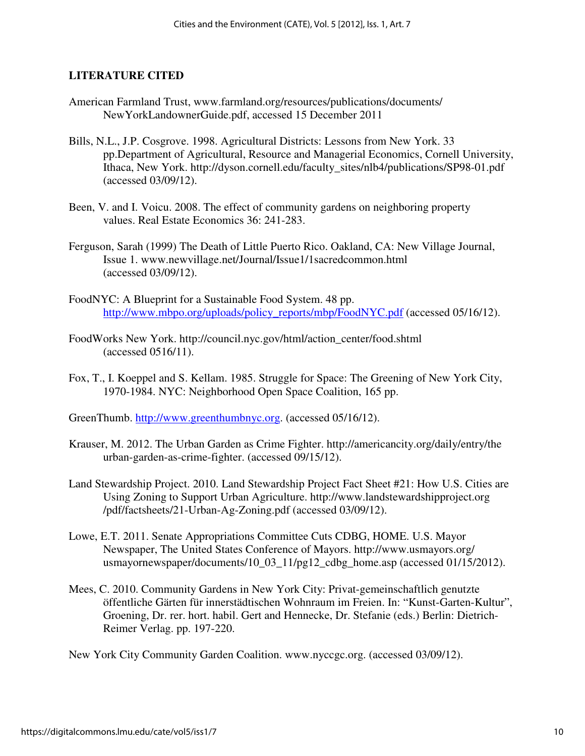#### **LITERATURE CITED**

- American Farmland Trust, www.farmland.org/resources/publications/documents/ NewYorkLandownerGuide.pdf, accessed 15 December 2011
- Bills, N.L., J.P. Cosgrove. 1998. Agricultural Districts: Lessons from New York. 33 pp.Department of Agricultural, Resource and Managerial Economics, Cornell University, Ithaca, New York. http://dyson.cornell.edu/faculty\_sites/nlb4/publications/SP98-01.pdf (accessed 03/09/12).
- Been, V. and I. Voicu. 2008. The effect of community gardens on neighboring property values. Real Estate Economics 36: 241-283.
- Ferguson, Sarah (1999) The Death of Little Puerto Rico. Oakland, CA: New Village Journal, Issue 1. www.newvillage.net/Journal/Issue1/1sacredcommon.html (accessed 03/09/12).
- FoodNYC: A Blueprint for a Sustainable Food System. 48 pp. http://www.mbpo.org/uploads/policy\_reports/mbp/FoodNYC.pdf (accessed 05/16/12).
- FoodWorks New York. http://council.nyc.gov/html/action\_center/food.shtml (accessed 0516/11).
- Fox, T., I. Koeppel and S. Kellam. 1985. Struggle for Space: The Greening of New York City, 1970-1984. NYC: Neighborhood Open Space Coalition, 165 pp.
- GreenThumb. http://www.greenthumbnyc.org. (accessed 05/16/12).
- Krauser, M. 2012. The Urban Garden as Crime Fighter. http://americancity.org/daily/entry/the urban-garden-as-crime-fighter. (accessed 09/15/12).
- Land Stewardship Project. 2010. Land Stewardship Project Fact Sheet #21: How U.S. Cities are Using Zoning to Support Urban Agriculture. http://www.landstewardshipproject.org /pdf/factsheets/21-Urban-Ag-Zoning.pdf (accessed 03/09/12).
- Lowe, E.T. 2011. Senate Appropriations Committee Cuts CDBG, HOME. U.S. Mayor Newspaper, The United States Conference of Mayors. http://www.usmayors.org/ usmayornewspaper/documents/10\_03\_11/pg12\_cdbg\_home.asp (accessed 01/15/2012).
- Mees, C. 2010. Community Gardens in New York City: Privat-gemeinschaftlich genutzte öffentliche Gärten für innerstädtischen Wohnraum im Freien. In: "Kunst-Garten-Kultur", Groening, Dr. rer. hort. habil. Gert and Hennecke, Dr. Stefanie (eds.) Berlin: Dietrich- Reimer Verlag. pp. 197-220.

New York City Community Garden Coalition. www.nyccgc.org. (accessed 03/09/12).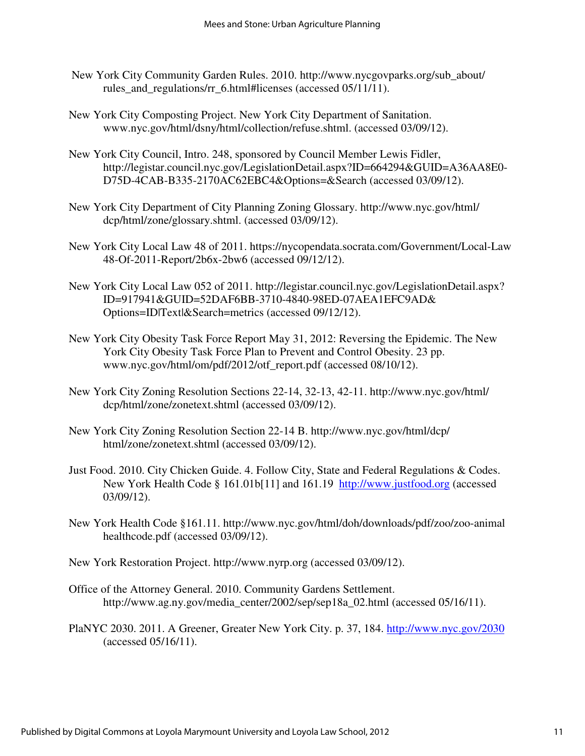- New York City Community Garden Rules. 2010. http://www.nycgovparks.org/sub\_about/ rules and regulations/rr 6.html#licenses (accessed 05/11/11).
- New York City Composting Project. New York City Department of Sanitation. www.nyc.gov/html/dsny/html/collection/refuse.shtml. (accessed 03/09/12).
- New York City Council, Intro. 248, sponsored by Council Member Lewis Fidler, http://legistar.council.nyc.gov/LegislationDetail.aspx?ID=664294&GUID=A36AA8E0- D75D-4CAB-B335-2170AC62EBC4&Options=&Search (accessed 03/09/12).
- New York City Department of City Planning Zoning Glossary. http://www.nyc.gov/html/ dcp/html/zone/glossary.shtml. (accessed 03/09/12).
- New York City Local Law 48 of 2011. https://nycopendata.socrata.com/Government/Local-Law 48-Of-2011-Report/2b6x-2bw6 (accessed 09/12/12).
- New York City Local Law 052 of 2011. http://legistar.council.nyc.gov/LegislationDetail.aspx? ID=917941&GUID=52DAF6BB-3710-4840-98ED-07AEA1EFC9AD& Options=ID|Text|&Search=metrics (accessed 09/12/12).
- New York City Obesity Task Force Report May 31, 2012: Reversing the Epidemic. The New York City Obesity Task Force Plan to Prevent and Control Obesity. 23 pp. www.nyc.gov/html/om/pdf/2012/otf\_report.pdf (accessed 08/10/12).
- New York City Zoning Resolution Sections 22-14, 32-13, 42-11. http://www.nyc.gov/html/ dcp/html/zone/zonetext.shtml (accessed 03/09/12).
- New York City Zoning Resolution Section 22-14 B. http://www.nyc.gov/html/dcp/ html/zone/zonetext.shtml (accessed 03/09/12).
- Just Food. 2010. City Chicken Guide. 4. Follow City, State and Federal Regulations & Codes. New York Health Code § 161.01b[11] and 161.19 http://www.justfood.org (accessed 03/09/12).
- New York Health Code §161.11. http://www.nyc.gov/html/doh/downloads/pdf/zoo/zoo-animal healthcode.pdf (accessed 03/09/12).
- New York Restoration Project. http://www.nyrp.org (accessed 03/09/12).
- Office of the Attorney General. 2010. Community Gardens Settlement. http://www.ag.ny.gov/media\_center/2002/sep/sep18a\_02.html (accessed 05/16/11).
- PlaNYC 2030. 2011. A Greener, Greater New York City. p. 37, 184. http://www.nyc.gov/2030 (accessed 05/16/11).